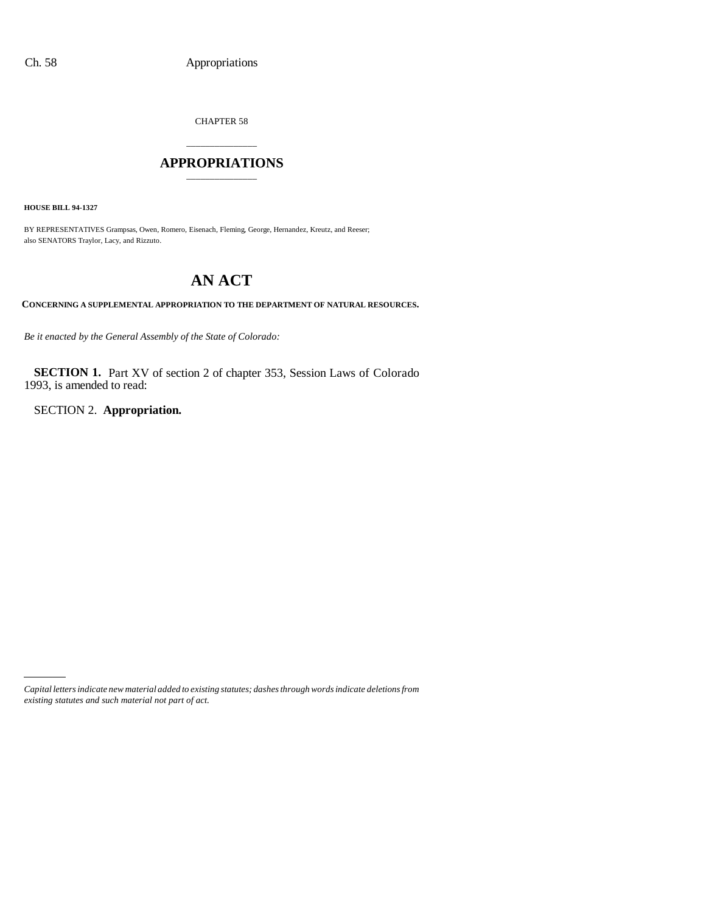CHAPTER 58

## \_\_\_\_\_\_\_\_\_\_\_\_\_\_\_ **APPROPRIATIONS** \_\_\_\_\_\_\_\_\_\_\_\_\_\_\_

**HOUSE BILL 94-1327**

BY REPRESENTATIVES Grampsas, Owen, Romero, Eisenach, Fleming, George, Hernandez, Kreutz, and Reeser; also SENATORS Traylor, Lacy, and Rizzuto.

# **AN ACT**

**CONCERNING A SUPPLEMENTAL APPROPRIATION TO THE DEPARTMENT OF NATURAL RESOURCES.**

*Be it enacted by the General Assembly of the State of Colorado:*

**SECTION 1.** Part XV of section 2 of chapter 353, Session Laws of Colorado 1993, is amended to read:

SECTION 2. **Appropriation.**

*Capital letters indicate new material added to existing statutes; dashes through words indicate deletions from existing statutes and such material not part of act.*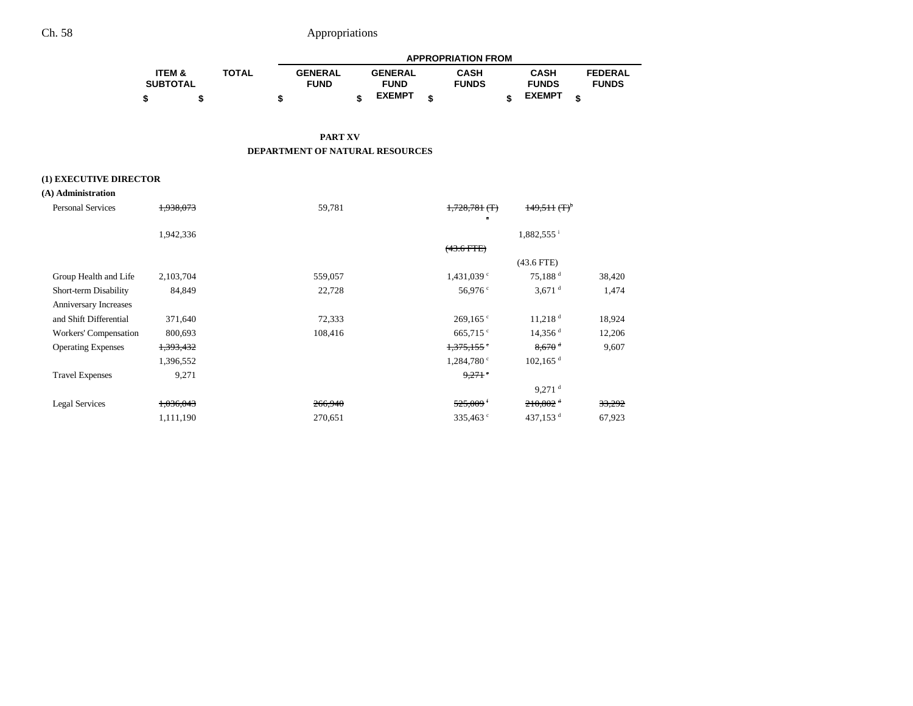|                   |              | <b>APPROPRIATION FROM</b> |  |                |  |              |  |               |  |                |  |
|-------------------|--------------|---------------------------|--|----------------|--|--------------|--|---------------|--|----------------|--|
| <b>ITEM &amp;</b> | <b>TOTAL</b> | <b>GENERAL</b>            |  | <b>GENERAL</b> |  | <b>CASH</b>  |  | <b>CASH</b>   |  | <b>FEDERAL</b> |  |
| <b>SUBTOTAL</b>   |              | <b>FUND</b>               |  | <b>FUND</b>    |  | <b>FUNDS</b> |  | <b>FUNDS</b>  |  | <b>FUNDS</b>   |  |
|                   |              |                           |  | <b>EXEMPT</b>  |  |              |  | <b>EXEMPT</b> |  |                |  |

### **PART XV DEPARTMENT OF NATURAL RESOURCES**

### **(1) EXECUTIVE DIRECTOR**

| (A) Administration |
|--------------------|
|--------------------|

| <b>Personal Services</b>  | 1,938,073            | 59,781  | $1,728,781$ (T)        | $149.511 \, (\text{T})^5$ |        |
|---------------------------|----------------------|---------|------------------------|---------------------------|--------|
|                           | 1,942,336            |         |                        | 1,882,555 <sup>i</sup>    |        |
|                           |                      |         | $(43.6$ FTE)           |                           |        |
|                           |                      |         |                        | $(43.6$ FTE)              |        |
| Group Health and Life     | 2,103,704            | 559,057 | 1,431,039°             | 75,188 <sup>d</sup>       | 38,420 |
| Short-term Disability     | 84,849               | 22,728  | 56,976 $\degree$       | $3,671$ <sup>d</sup>      | 1,474  |
| Anniversary Increases     |                      |         |                        |                           |        |
| and Shift Differential    | 371,640              | 72,333  | $269,165$ °            | $11,218$ <sup>d</sup>     | 18,924 |
| Workers' Compensation     | 800,693              | 108,416 | $665,715$ °            | $14,356$ <sup>d</sup>     | 12,206 |
| <b>Operating Expenses</b> | <del>1,393,432</del> |         | 1,375,155              | $8,670$ <sup>d</sup>      | 9,607  |
|                           | 1,396,552            |         | $1,284,780$ c          | $102, 165$ <sup>d</sup>   |        |
| <b>Travel Expenses</b>    | 9,271                |         | $9.271$ $\degree$      |                           |        |
|                           |                      |         |                        | $9,271$ <sup>d</sup>      |        |
| Legal Services            | 1,036,043            | 266,940 | $525,009$ <sup>f</sup> | $210,802$ <sup>d</sup>    | 33,292 |
|                           | 1,111,190            | 270,651 | 335,463 <sup>c</sup>   | 437,153 $d$               | 67,923 |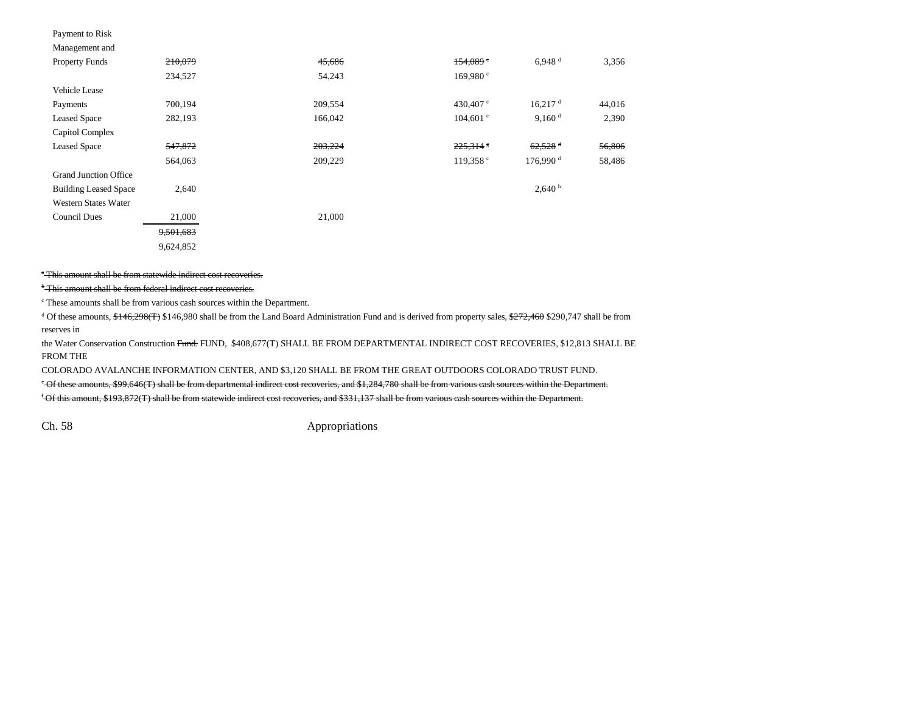#### Payment to Risk

Grand Junction Office

| 210,079            | 45,686  | 154,089            | 6.948 <sup>d</sup>     | 3,356  |
|--------------------|---------|--------------------|------------------------|--------|
| 234.527            | 54,243  | 169.980 °          |                        |        |
|                    |         |                    |                        |        |
| 700.194            | 209,554 | 430.407 $\degree$  | 16.217 <sup>d</sup>    | 44,016 |
| 282,193            | 166,042 | $104.601$ c        | 9,160 <sup>d</sup>     | 2,390  |
|                    |         |                    |                        |        |
| <del>547,872</del> | 203,224 | $225.314$ s        | $62,528$ <sup>d</sup>  | 56,806 |
| 564,063            | 209,229 | 119,358 $^{\circ}$ | $176.990$ <sup>d</sup> | 58,486 |
|                    |         |                    |                        |        |

Western States Water Council Dues 21,000 21,000 9,501,683 9,624,852

Building Leased Space 2,640 h 2,640 h 2,640 h  $2,640$  h  $2,640$  h  $2,640$  h  $2,640$  h  $2,640$  h  $2,640$  h  $2,640$  h  $2,640$  h  $2,640$  h  $2,640$  h  $2,640$  h  $2,640$  h  $2,640$  h  $2,640$  h  $2,640$  h  $2,640$  h  $2,640$  h  $2,640$ 

## <sup>\*</sup> This amount shall be from statewide indirect cost recoveries.

<sup>b</sup> This amount shall be from federal indirect cost recoveries.

c These amounts shall be from various cash sources within the Department.

<sup>d</sup> Of these amounts,  $\frac{$+46,298(f)}{$+80,298(f)}$  \$146,980 shall be from the Land Board Administration Fund and is derived from property sales,  $\frac{$+272,460}{$+272,460 $290,747 $}$  shall be from reserves in

the Water Conservation Construction Fund. FUND, \$408,677(T) SHALL BE FROM DEPARTMENTAL INDIRECT COST RECOVERIES, \$12,813 SHALL BE FROM THE

COLORADO AVALANCHE INFORMATION CENTER, AND \$3,120 SHALL BE FROM THE GREAT OUTDOORS COLORADO TRUST FUND.

e Of these amounts, \$99,646(T) shall be from departmental indirect cost recoveries, and \$1,284,780 shall be from various cash sources within the Department.

f Of this amount, \$193,872(T) shall be from statewide indirect cost recoveries, and \$331,137 shall be from various cash sources within the Department.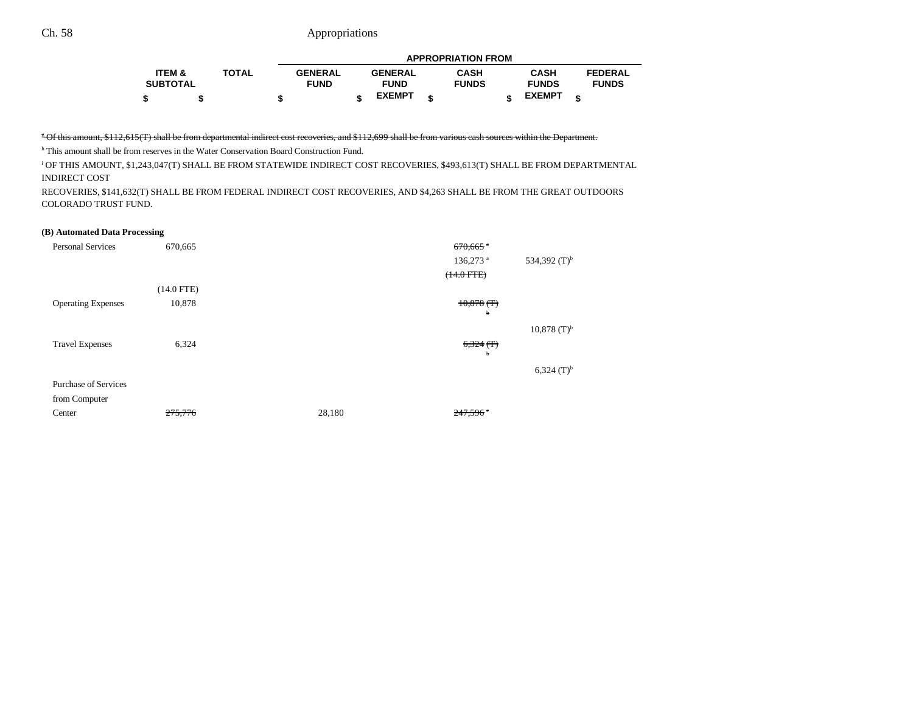|                   |              | <b>APPROPRIATION FROM</b> |  |                |   |              |  |               |   |                |  |
|-------------------|--------------|---------------------------|--|----------------|---|--------------|--|---------------|---|----------------|--|
| <b>ITEM &amp;</b> | <b>TOTAL</b> | <b>GENERAL</b>            |  | <b>GENERAL</b> |   | CASH         |  | <b>CASH</b>   |   | <b>FEDERAL</b> |  |
| <b>SUBTOTAL</b>   |              | <b>FUND</b>               |  | <b>FUND</b>    |   | <b>FUNDS</b> |  | <b>FUNDS</b>  |   | <b>FUNDS</b>   |  |
|                   |              |                           |  | <b>EXEMPT</b>  | ¢ |              |  | <b>EXEMPT</b> | œ |                |  |

### <sup>5</sup> Of this amount, \$112,615(T) shall be from departmental indirect cost recoveries, and \$112,699 shall be from various cash sources within the Department.

h This amount shall be from reserves in the Water Conservation Board Construction Fund.

i OF THIS AMOUNT, \$1,243,047(T) SHALL BE FROM STATEWIDE INDIRECT COST RECOVERIES, \$493,613(T) SHALL BE FROM DEPARTMENTAL INDIRECT COST

RECOVERIES, \$141,632(T) SHALL BE FROM FEDERAL INDIRECT COST RECOVERIES, AND \$4,263 SHALL BE FROM THE GREAT OUTDOORS COLORADO TRUST FUND.

#### **(B) Automated Data Processing**

| <b>Personal Services</b>    | 670,665      |        | $670,665$ $\degree$    |                           |
|-----------------------------|--------------|--------|------------------------|---------------------------|
|                             |              |        | $136,273$ <sup>a</sup> | 534,392 $(T)^{b}$         |
|                             |              |        | $(14.0$ FTE $)$        |                           |
|                             | $(14.0$ FTE) |        |                        |                           |
| <b>Operating Expenses</b>   | 10,878       |        | $10,878$ (T)           |                           |
|                             |              |        | ь                      |                           |
|                             |              |        |                        | $10,878$ (T) <sup>b</sup> |
| <b>Travel Expenses</b>      | 6,324        |        | $6,324$ (T)            |                           |
|                             |              |        | ь                      |                           |
|                             |              |        |                        | $6,324$ (T) <sup>b</sup>  |
| <b>Purchase of Services</b> |              |        |                        |                           |
| from Computer               |              |        |                        |                           |
| Center                      | 275,776      | 28,180 | 247,596                |                           |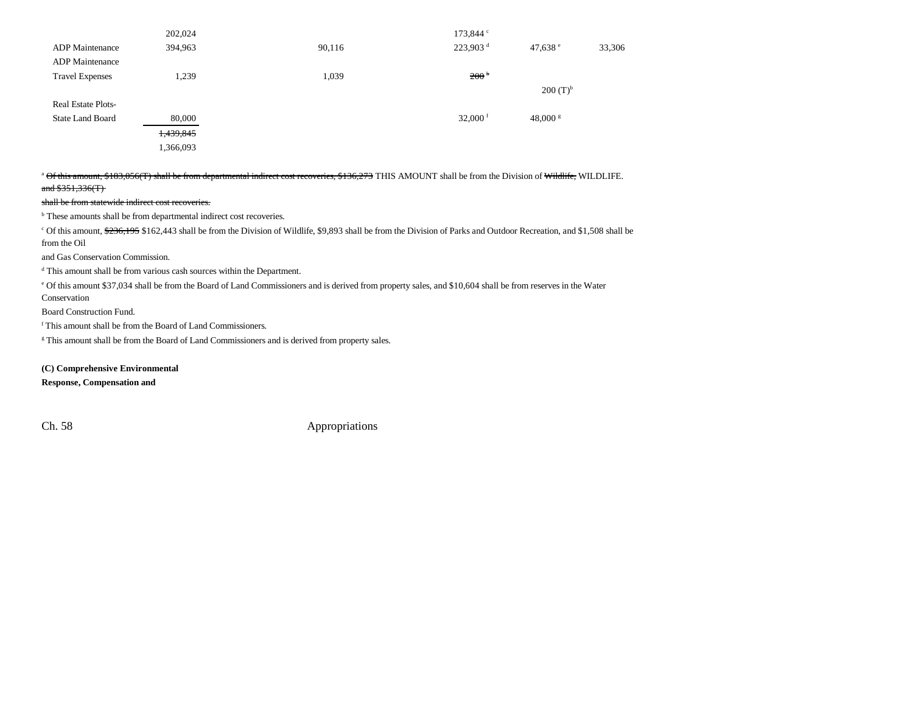|                           | 202,024   |        | 173,844 c            |               |        |
|---------------------------|-----------|--------|----------------------|---------------|--------|
| <b>ADP</b> Maintenance    | 394,963   | 90,116 | 223,903 <sup>d</sup> | 47,638 $e$    | 33,306 |
| <b>ADP</b> Maintenance    |           |        |                      |               |        |
| <b>Travel Expenses</b>    | 1,239     | 1,039  | 200 <sup>b</sup>     |               |        |
|                           |           |        |                      | $200 (T)^{b}$ |        |
| <b>Real Estate Plots-</b> |           |        |                      |               |        |
| <b>State Land Board</b>   | 80,000    |        | 32,000 $f$           | $48,000$ s    |        |
|                           | 1,439,845 |        |                      |               |        |
|                           | 1,366,093 |        |                      |               |        |

<sup>a</sup> Of this amount, \$183,056(T) shall be from departmental indirect cost recoveries, \$136,273 THIS AMOUNT shall be from the Division of Wildlife, WILDLIFE. and  $$351,336(T)$ 

#### shall be from statewide indirect cost recoveries.

b These amounts shall be from departmental indirect cost recoveries.

<sup>c</sup> Of this amount, \$236,195 \$162,443 shall be from the Division of Wildlife, \$9,893 shall be from the Division of Parks and Outdoor Recreation, and \$1,508 shall be from the Oil

and Gas Conservation Commission.

d This amount shall be from various cash sources within the Department.

e Of this amount \$37,034 shall be from the Board of Land Commissioners and is derived from property sales, and \$10,604 shall be from reserves in the Water Conservation

Board Construction Fund.

f This amount shall be from the Board of Land Commissioners.

<sup>g</sup> This amount shall be from the Board of Land Commissioners and is derived from property sales.

**(C) Comprehensive Environmental**

**Response, Compensation and**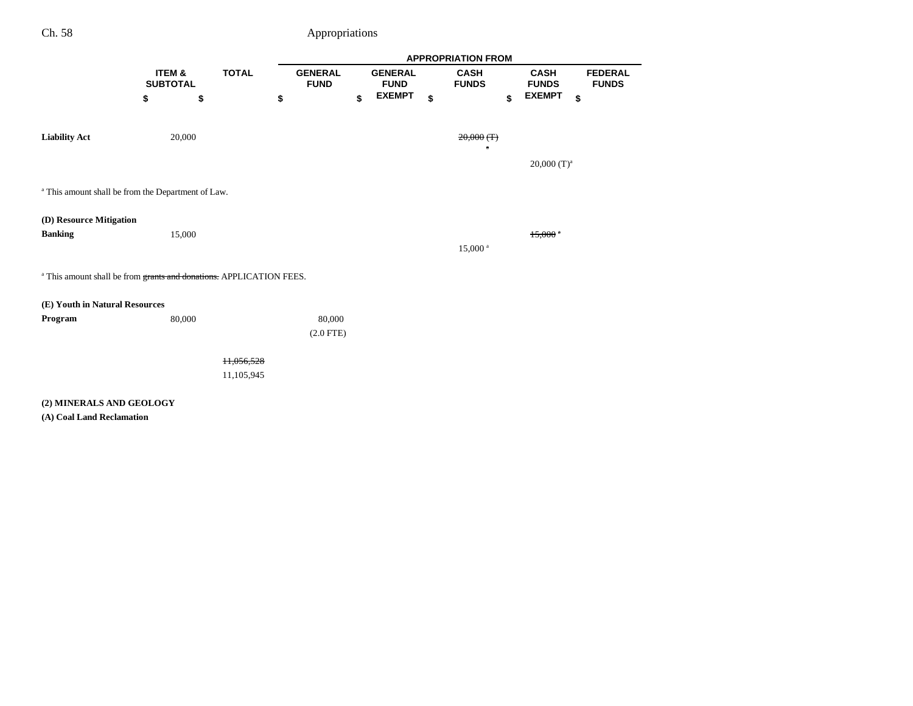|                                |                                                                                |              |                | <b>APPROPRIATION FROM</b> |                               |    |                             |    |                             |                                |  |  |  |
|--------------------------------|--------------------------------------------------------------------------------|--------------|----------------|---------------------------|-------------------------------|----|-----------------------------|----|-----------------------------|--------------------------------|--|--|--|
|                                | ITEM &<br><b>SUBTOTAL</b>                                                      | <b>TOTAL</b> | <b>GENERAL</b> | <b>FUND</b>               | <b>GENERAL</b><br><b>FUND</b> |    | <b>CASH</b><br><b>FUNDS</b> |    | <b>CASH</b><br><b>FUNDS</b> | <b>FEDERAL</b><br><b>FUNDS</b> |  |  |  |
|                                | \$<br>\$                                                                       |              | \$             | \$                        | <b>EXEMPT</b>                 | \$ |                             | \$ | <b>EXEMPT</b>               | \$                             |  |  |  |
| <b>Liability Act</b>           | 20,000                                                                         |              |                |                           |                               |    | $20,000$ (T)<br>$\bullet$   |    |                             |                                |  |  |  |
|                                |                                                                                |              |                |                           |                               |    |                             |    | $20,000$ (T) <sup>a</sup>   |                                |  |  |  |
|                                | <sup>a</sup> This amount shall be from the Department of Law.                  |              |                |                           |                               |    |                             |    |                             |                                |  |  |  |
| (D) Resource Mitigation        |                                                                                |              |                |                           |                               |    |                             |    |                             |                                |  |  |  |
| <b>Banking</b>                 | 15,000                                                                         |              |                |                           |                               |    | 15,000 <sup>a</sup>         |    | $15,000$ <sup>a</sup>       |                                |  |  |  |
|                                | <sup>a</sup> This amount shall be from grants and donations. APPLICATION FEES. |              |                |                           |                               |    |                             |    |                             |                                |  |  |  |
| (E) Youth in Natural Resources |                                                                                |              |                |                           |                               |    |                             |    |                             |                                |  |  |  |
| Program                        | 80,000                                                                         |              |                | 80,000                    |                               |    |                             |    |                             |                                |  |  |  |
|                                |                                                                                |              |                | $(2.0$ FTE)               |                               |    |                             |    |                             |                                |  |  |  |
|                                |                                                                                | H,056,528    |                |                           |                               |    |                             |    |                             |                                |  |  |  |
|                                |                                                                                | 11,105,945   |                |                           |                               |    |                             |    |                             |                                |  |  |  |
| (2) MINERALS AND GEOLOGY       |                                                                                |              |                |                           |                               |    |                             |    |                             |                                |  |  |  |
| (A) Coal Land Reclamation      |                                                                                |              |                |                           |                               |    |                             |    |                             |                                |  |  |  |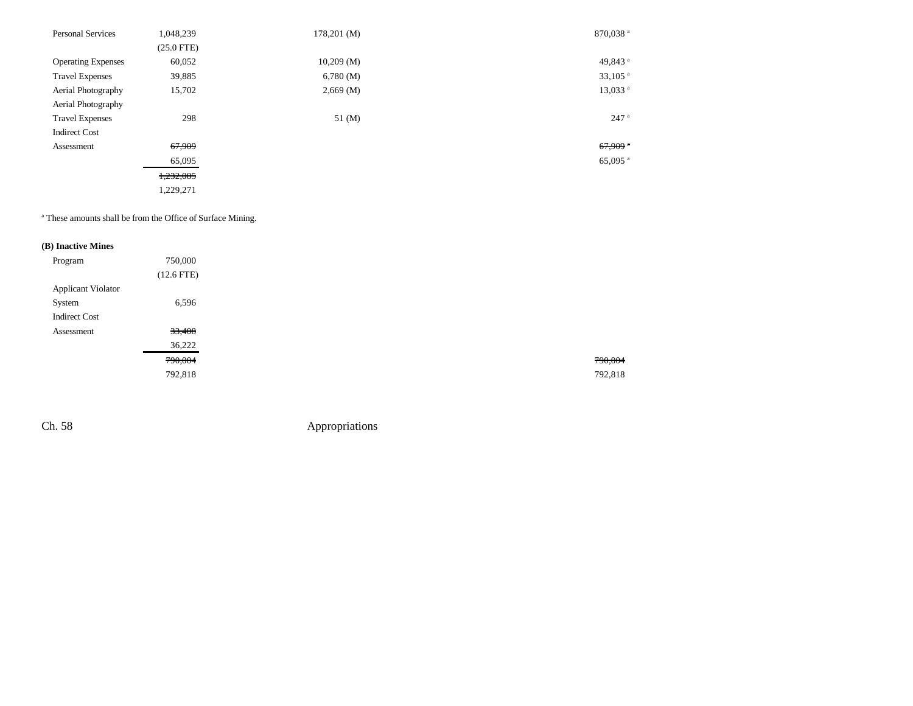| <b>Personal Services</b>  | 1,048,239    | $178,201 \, (M)$      | 870,038 <sup>a</sup>  |
|---------------------------|--------------|-----------------------|-----------------------|
|                           | $(25.0$ FTE) |                       |                       |
| <b>Operating Expenses</b> | 60,052       | 10,209(M)             | 49,843 <sup>a</sup>   |
| <b>Travel Expenses</b>    | 39,885       | 6,780(M)              | $33,105$ <sup>a</sup> |
| Aerial Photography        | 15,702       | $2,669 \, (\text{M})$ | 13,033 <sup>a</sup>   |
| Aerial Photography        |              |                       |                       |
| <b>Travel Expenses</b>    | 298          | $51 \, (M)$           | $247$ <sup>a</sup>    |
| <b>Indirect Cost</b>      |              |                       |                       |
| Assessment                | 67,909       |                       | $67,909$ *            |
|                           | 65,095       |                       | 65,095 $^{\rm a}$     |
|                           | 1,232,085    |                       |                       |
|                           | 1,229,271    |                       |                       |

a These amounts shall be from the Office of Surface Mining.

### **(B) Inactive Mines**

| Program                   | 750,000      |
|---------------------------|--------------|
|                           | $(12.6$ FTE) |
| <b>Applicant Violator</b> |              |
| System                    | 6,596        |
| <b>Indirect Cost</b>      |              |
| Assessment                | 33,408       |
|                           | 36,222       |
|                           | 790,004      |
|                           | 792,818      |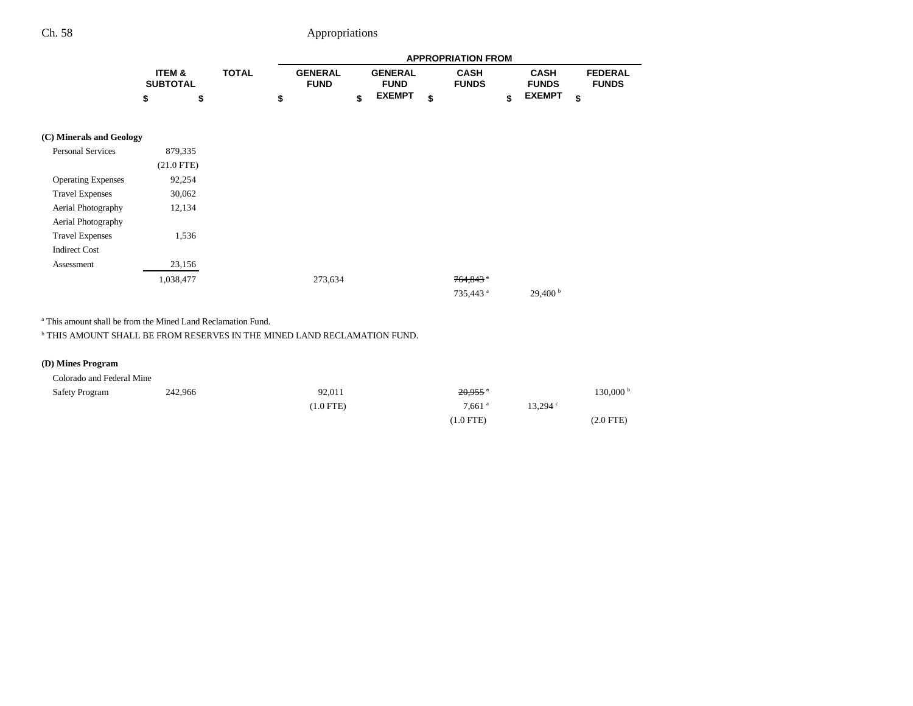|                           |                           |              |                               |                               | <b>APPROPRIATION FROM</b>   |                             |                                |
|---------------------------|---------------------------|--------------|-------------------------------|-------------------------------|-----------------------------|-----------------------------|--------------------------------|
|                           | ITEM &<br><b>SUBTOTAL</b> | <b>TOTAL</b> | <b>GENERAL</b><br><b>FUND</b> | <b>GENERAL</b><br><b>FUND</b> | <b>CASH</b><br><b>FUNDS</b> | <b>CASH</b><br><b>FUNDS</b> | <b>FEDERAL</b><br><b>FUNDS</b> |
|                           | \$                        | \$           | \$                            | \$<br><b>EXEMPT</b>           | \$                          | \$<br><b>EXEMPT</b>         | \$                             |
| (C) Minerals and Geology  |                           |              |                               |                               |                             |                             |                                |
| <b>Personal Services</b>  | 879,335                   |              |                               |                               |                             |                             |                                |
|                           | $(21.0$ FTE)              |              |                               |                               |                             |                             |                                |
| <b>Operating Expenses</b> | 92,254                    |              |                               |                               |                             |                             |                                |
| <b>Travel Expenses</b>    | 30,062                    |              |                               |                               |                             |                             |                                |
| Aerial Photography        | 12,134                    |              |                               |                               |                             |                             |                                |
| Aerial Photography        |                           |              |                               |                               |                             |                             |                                |
| <b>Travel Expenses</b>    | 1,536                     |              |                               |                               |                             |                             |                                |
| <b>Indirect Cost</b>      |                           |              |                               |                               |                             |                             |                                |
| Assessment                | 23,156                    |              |                               |                               |                             |                             |                                |
|                           | 1,038,477                 |              | 273,634                       |                               | $764,843$ $\degree$         |                             |                                |
|                           |                           |              |                               |                               | 735,443 <sup>a</sup>        | $29,400^{\circ}$            |                                |

a This amount shall be from the Mined Land Reclamation Fund.

 $^{\rm b}$  THIS AMOUNT SHALL BE FROM RESERVES IN THE MINED LAND RECLAMATION FUND.

### **(D) Mines Program**

Colorado and Federal Mine

| <b>Safety Program</b> | 242,966 | 92,011      | $20,955$ <sup>*</sup> |                    | 130,000 b   |
|-----------------------|---------|-------------|-----------------------|--------------------|-------------|
|                       |         | $(1.0$ FTE) | $7,661$ <sup>a</sup>  | $13.294$ $\degree$ |             |
|                       |         |             | $(1.0$ FTE)           |                    | $(2.0$ FTE) |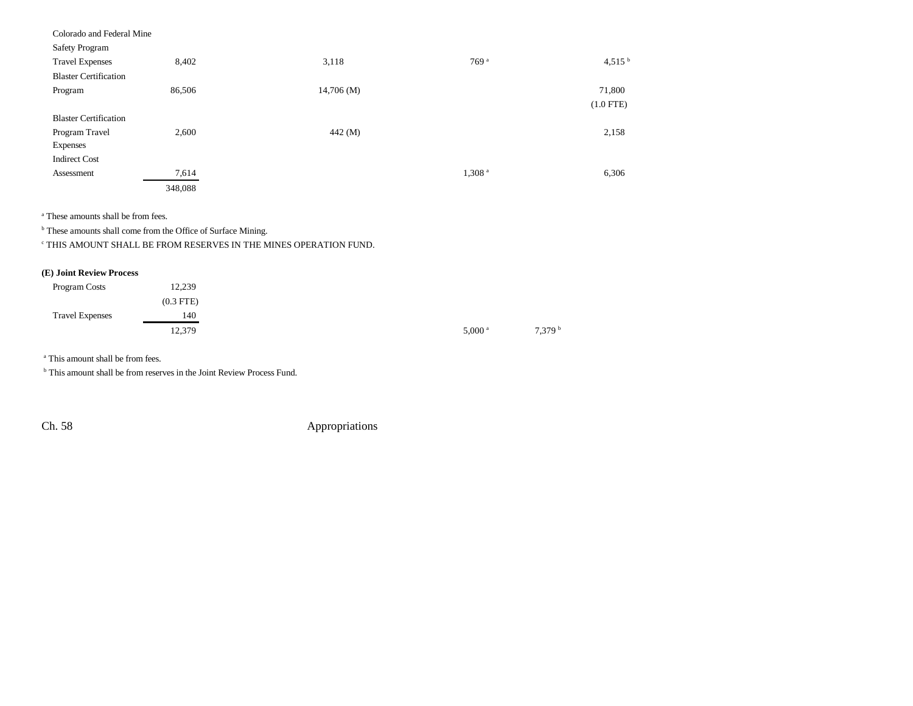| Colorado and Federal Mine    |         |           |                    |             |
|------------------------------|---------|-----------|--------------------|-------------|
| Safety Program               |         |           |                    |             |
| <b>Travel Expenses</b>       | 8,402   | 3,118     | 769 <sup>a</sup>   | 4,515 $b$   |
| <b>Blaster Certification</b> |         |           |                    |             |
| Program                      | 86,506  | 14,706(M) |                    | 71,800      |
|                              |         |           |                    | $(1.0$ FTE) |
| <b>Blaster Certification</b> |         |           |                    |             |
| Program Travel               | 2,600   | 442(M)    |                    | 2,158       |
| Expenses                     |         |           |                    |             |
| <b>Indirect Cost</b>         |         |           |                    |             |
| Assessment                   | 7,614   |           | 1,308 <sup>a</sup> | 6,306       |
|                              | 348,088 |           |                    |             |

a These amounts shall be from fees.

**b** These amounts shall come from the Office of Surface Mining.

c THIS AMOUNT SHALL BE FROM RESERVES IN THE MINES OPERATION FUND.

### **(E) Joint Review Process**

| Program Costs          | 12,239      |
|------------------------|-------------|
|                        | $(0.3$ FTE) |
| <b>Travel Expenses</b> | 140         |
|                        | 12,379      |

a This amount shall be from fees.

**b** This amount shall be from reserves in the Joint Review Process Fund.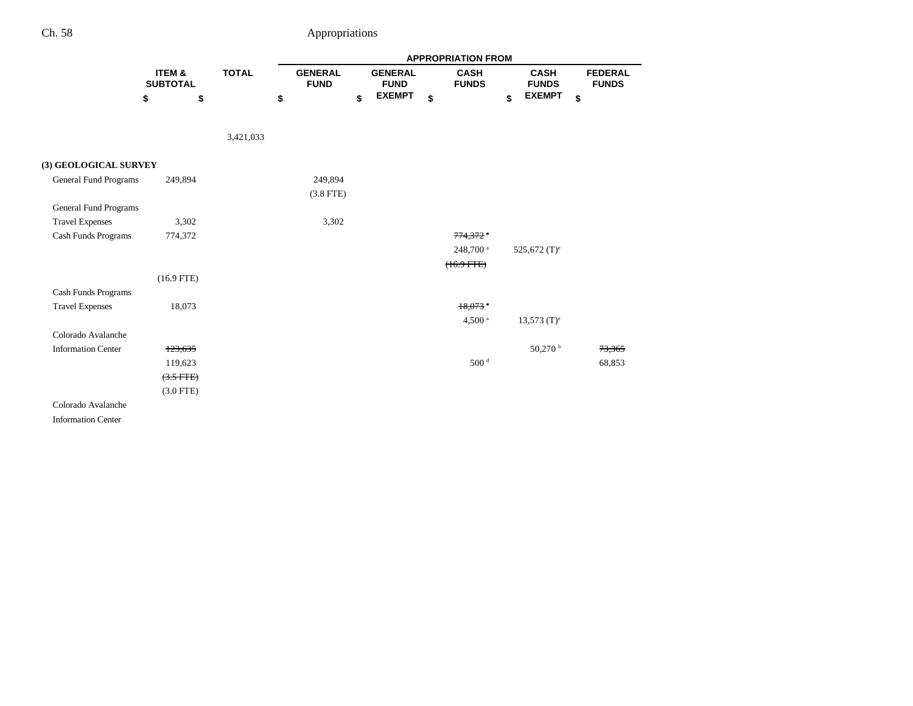|                           |                           |              |                               |                               | <b>APPROPRIATION FROM</b>   |                             |                                |
|---------------------------|---------------------------|--------------|-------------------------------|-------------------------------|-----------------------------|-----------------------------|--------------------------------|
|                           | ITEM &<br><b>SUBTOTAL</b> | <b>TOTAL</b> | <b>GENERAL</b><br><b>FUND</b> | <b>GENERAL</b><br><b>FUND</b> | <b>CASH</b><br><b>FUNDS</b> | <b>CASH</b><br><b>FUNDS</b> | <b>FEDERAL</b><br><b>FUNDS</b> |
|                           | \$<br>\$                  |              | \$                            | \$<br><b>EXEMPT</b>           | \$                          | \$<br><b>EXEMPT</b>         | \$                             |
|                           |                           | 3,421,033    |                               |                               |                             |                             |                                |
|                           |                           |              |                               |                               |                             |                             |                                |
| (3) GEOLOGICAL SURVEY     |                           |              |                               |                               |                             |                             |                                |
| General Fund Programs     | 249,894                   |              | 249,894                       |                               |                             |                             |                                |
|                           |                           |              | $(3.8$ FTE)                   |                               |                             |                             |                                |
| General Fund Programs     |                           |              |                               |                               |                             |                             |                                |
| <b>Travel Expenses</b>    | 3,302                     |              | 3,302                         |                               |                             |                             |                                |
| Cash Funds Programs       | 774,372                   |              |                               |                               | $774,372$ $*$               |                             |                                |
|                           |                           |              |                               |                               | 248,700 <sup>a</sup>        | 525,672 $(T)^e$             |                                |
|                           |                           |              |                               |                               | $(16.9$ FTE $)$             |                             |                                |
|                           | $(16.9$ FTE)              |              |                               |                               |                             |                             |                                |
| Cash Funds Programs       |                           |              |                               |                               |                             |                             |                                |
| <b>Travel Expenses</b>    | 18,073                    |              |                               |                               | $18,073$ <sup>a</sup>       |                             |                                |
|                           |                           |              |                               |                               | 4,500 <sup>a</sup>          | $13,573$ (T) <sup>e</sup>   |                                |
| Colorado Avalanche        |                           |              |                               |                               |                             |                             |                                |
| <b>Information Center</b> | 123,635                   |              |                               |                               |                             | 50,270 b                    | 73,365                         |
|                           | 119,623                   |              |                               |                               | 500 <sup>d</sup>            |                             | 68,853                         |
|                           | $(3.5$ FTE)               |              |                               |                               |                             |                             |                                |
|                           | $(3.0$ FTE)               |              |                               |                               |                             |                             |                                |
| Colorado Avalanche        |                           |              |                               |                               |                             |                             |                                |
| <b>Information Center</b> |                           |              |                               |                               |                             |                             |                                |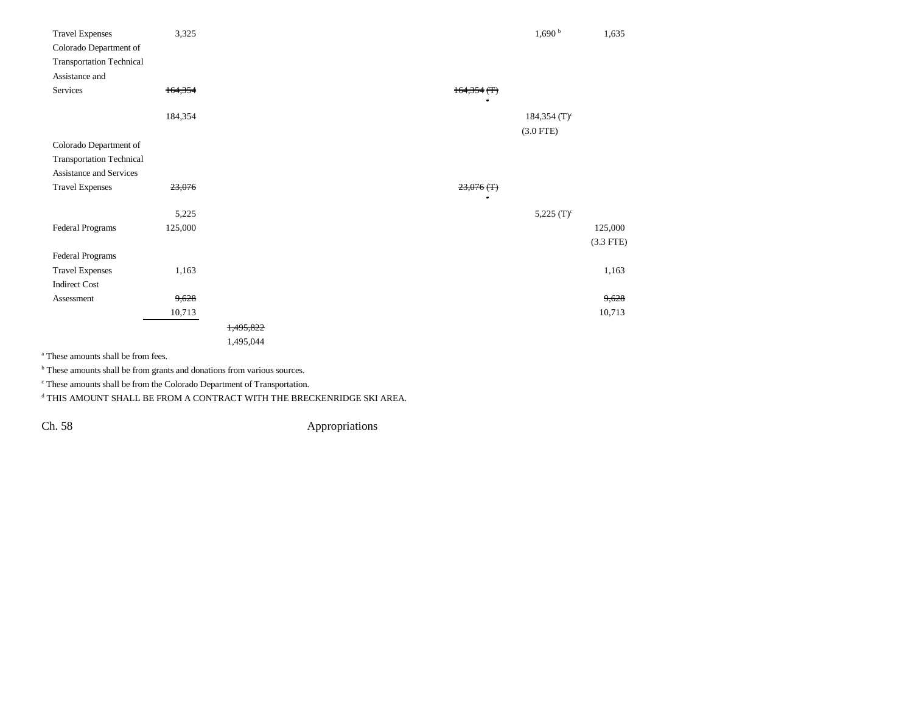| <b>Travel Expenses</b>          | 3,325       |           |                      | $1{,}690$ $^{\rm b}$ | 1,635       |
|---------------------------------|-------------|-----------|----------------------|----------------------|-------------|
| Colorado Department of          |             |           |                      |                      |             |
| <b>Transportation Technical</b> |             |           |                      |                      |             |
| Assistance and                  |             |           |                      |                      |             |
| Services                        | 164,354     |           | $164,354$ (T)        |                      |             |
|                                 |             |           | $\ddot{\phantom{a}}$ |                      |             |
|                                 | 184,354     |           |                      | 184,354 $(T)^c$      |             |
|                                 |             |           |                      | $(3.0$ FTE)          |             |
| Colorado Department of          |             |           |                      |                      |             |
| <b>Transportation Technical</b> |             |           |                      |                      |             |
| Assistance and Services         |             |           |                      |                      |             |
| <b>Travel Expenses</b>          | 23,076      |           | $23,076$ (T)         |                      |             |
|                                 |             |           | $\bullet$            |                      |             |
|                                 | 5,225       |           |                      | 5,225 $(T)^c$        |             |
| Federal Programs                | 125,000     |           |                      |                      | 125,000     |
|                                 |             |           |                      |                      | $(3.3$ FTE) |
| Federal Programs                |             |           |                      |                      |             |
| <b>Travel Expenses</b>          | 1,163       |           |                      |                      | 1,163       |
| <b>Indirect Cost</b>            |             |           |                      |                      |             |
| Assessment                      | 9,628       |           |                      |                      | 9,628       |
|                                 | 10,713      |           |                      |                      | 10,713      |
|                                 |             | 1,495,822 |                      |                      |             |
|                                 |             | 1,495,044 |                      |                      |             |
| .                               | <b>1999</b> |           |                      |                      |             |

a These amounts shall be from fees.

 $^{\rm b}$  These amounts shall be from grants and donations from various sources.

c These amounts shall be from the Colorado Department of Transportation.

 $^{\rm d}$  THIS AMOUNT SHALL BE FROM A CONTRACT WITH THE BRECKENRIDGE SKI AREA.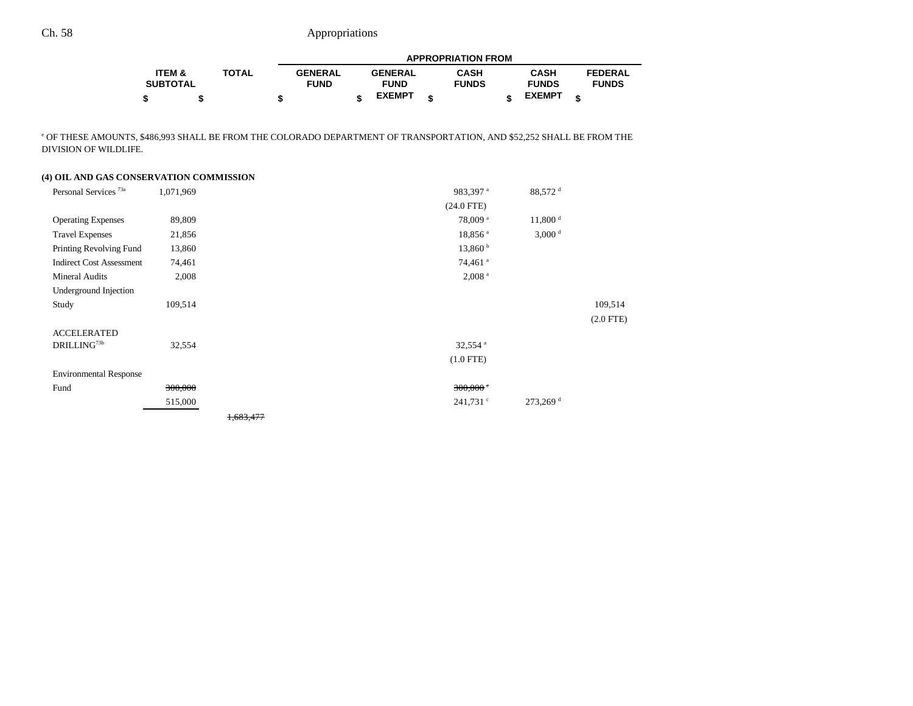|                   |              |                | <b>APPROPRIATION FROM</b> |                |  |              |  |               |                |  |
|-------------------|--------------|----------------|---------------------------|----------------|--|--------------|--|---------------|----------------|--|
| <b>ITEM &amp;</b> | <b>TOTAL</b> | <b>GENERAL</b> |                           | <b>GENERAL</b> |  | <b>CASH</b>  |  | <b>CASH</b>   | <b>FEDERAL</b> |  |
| <b>SUBTOTAL</b>   |              | <b>FUND</b>    |                           | <b>FUND</b>    |  | <b>FUNDS</b> |  | <b>FUNDS</b>  | <b>FUNDS</b>   |  |
|                   |              |                |                           | <b>EXEMPT</b>  |  |              |  | <b>EXEMPT</b> |                |  |

e OF THESE AMOUNTS, \$486,993 SHALL BE FROM THE COLORADO DEPARTMENT OF TRANSPORTATION, AND \$52,252 SHALL BE FROM THE DIVISION OF WILDLIFE.

### **(4) OIL AND GAS CONSERVATION COMMISSION**

| Personal Services <sup>73a</sup> | 1,071,969 |           | 983,397 <sup>a</sup>  | 88,572 <sup>d</sup>    |                |
|----------------------------------|-----------|-----------|-----------------------|------------------------|----------------|
|                                  |           |           | $(24.0$ FTE)          |                        |                |
| <b>Operating Expenses</b>        | 89,809    |           | 78,009 <sup>a</sup>   | $11,800$ <sup>d</sup>  |                |
| <b>Travel Expenses</b>           | 21,856    |           | 18,856 <sup>a</sup>   | 3,000 <sup>d</sup>     |                |
| Printing Revolving Fund          | 13,860    |           | 13,860 <sup>b</sup>   |                        |                |
| <b>Indirect Cost Assessment</b>  | 74,461    |           | 74,461 <sup>a</sup>   |                        |                |
| Mineral Audits                   | 2,008     |           | 2,008 <sup>a</sup>    |                        |                |
| Underground Injection            |           |           |                       |                        |                |
| Study                            | 109,514   |           |                       |                        | 109,514        |
|                                  |           |           |                       |                        | $(2.0$ FTE $)$ |
| <b>ACCELERATED</b>               |           |           |                       |                        |                |
| DRILLING73b                      | 32,554    |           | $32,554$ <sup>a</sup> |                        |                |
|                                  |           |           | $(1.0$ FTE)           |                        |                |
| <b>Environmental Response</b>    |           |           |                       |                        |                |
| Fund                             | 300,000   |           | $300,000$ $\degree$   |                        |                |
|                                  | 515,000   |           | $241,731$ $\degree$   | $273,269$ <sup>d</sup> |                |
|                                  |           | 1,683,477 |                       |                        |                |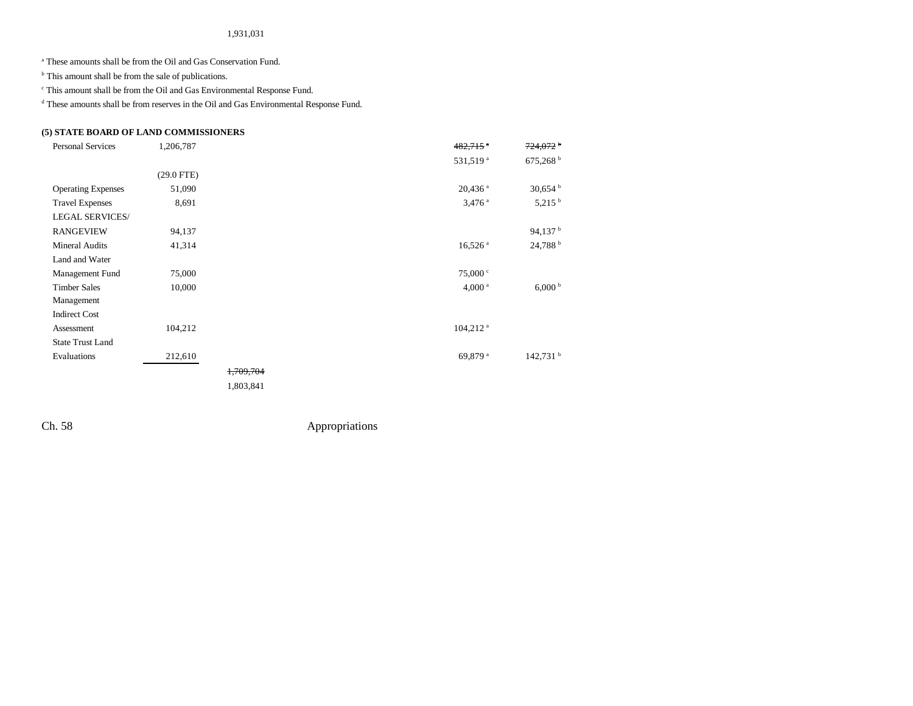#### 1,931,031

a These amounts shall be from the Oil and Gas Conservation Fund.

 $\,$   $\,$  This amount shall be from the sale of publications.

c This amount shall be from the Oil and Gas Environmental Response Fund.

d These amounts shall be from reserves in the Oil and Gas Environmental Response Fund.

### **(5) STATE BOARD OF LAND COMMISSIONERS**

| <b>Personal Services</b>  | 1,206,787    |                      | $482,715$ $\degree$   | $724,072$ <sup>b</sup> |
|---------------------------|--------------|----------------------|-----------------------|------------------------|
|                           |              |                      | 531,519 <sup>a</sup>  | 675,268 <sup>b</sup>   |
|                           | $(29.0$ FTE) |                      |                       |                        |
| <b>Operating Expenses</b> | 51,090       |                      | $20,436$ <sup>a</sup> | $30,654$ b             |
| <b>Travel Expenses</b>    | 8,691        |                      | $3,476$ <sup>a</sup>  | $5,215$ <sup>b</sup>   |
| <b>LEGAL SERVICES/</b>    |              |                      |                       |                        |
| <b>RANGEVIEW</b>          | 94,137       |                      |                       | 94,137 $^{\rm b}$      |
| Mineral Audits            | 41,314       |                      | $16,526$ <sup>a</sup> | 24,788 b               |
| Land and Water            |              |                      |                       |                        |
| Management Fund           | 75,000       |                      | 75,000 °              |                        |
| <b>Timber Sales</b>       | 10,000       |                      | 4,000 <sup>a</sup>    | 6,000 <sup>b</sup>     |
| Management                |              |                      |                       |                        |
| <b>Indirect Cost</b>      |              |                      |                       |                        |
| Assessment                | 104,212      |                      | 104,212 <sup>a</sup>  |                        |
| <b>State Trust Land</b>   |              |                      |                       |                        |
| Evaluations               | 212,610      |                      | 69,879 <sup>a</sup>   | 142,731 <sup>b</sup>   |
|                           |              | <del>1,709,704</del> |                       |                        |
|                           |              | 1,803,841            |                       |                        |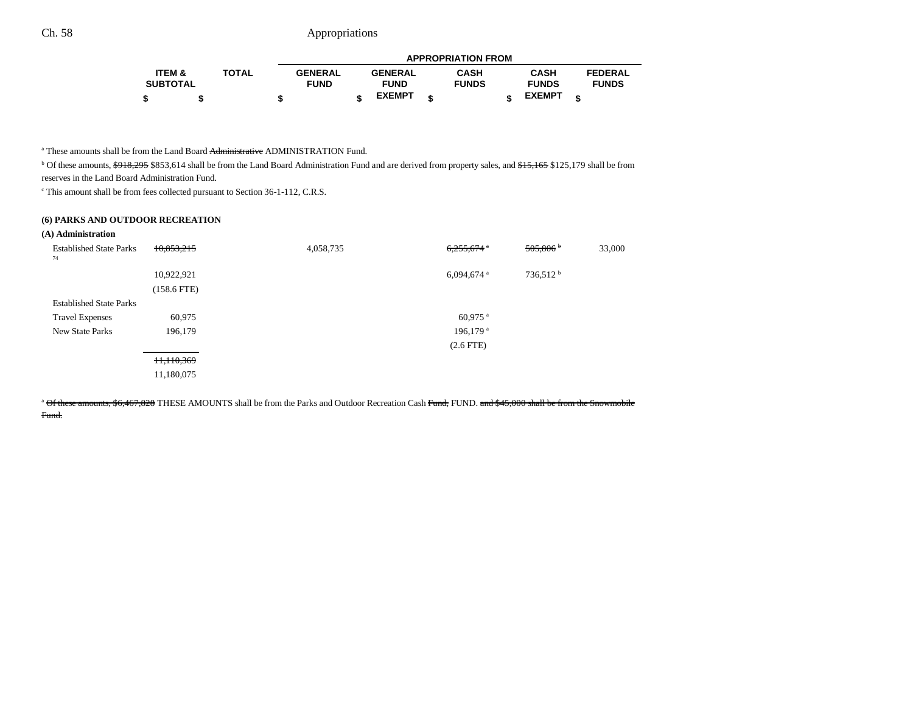|                 |              |                |                | <b>APPROPRIATION FROM</b> |               |   |                |
|-----------------|--------------|----------------|----------------|---------------------------|---------------|---|----------------|
| ITEM &          | <b>TOTAL</b> | <b>GENERAL</b> | <b>GENERAL</b> | CASH                      | <b>CASH</b>   |   | <b>FEDERAL</b> |
| <b>SUBTOTAL</b> |              | <b>FUND</b>    | <b>FUND</b>    | <b>FUNDS</b>              | <b>FUNDS</b>  |   | <b>FUNDS</b>   |
|                 |              |                | <b>EXEMPT</b>  |                           | <b>EXEMPT</b> | œ |                |

<sup>a</sup> These amounts shall be from the Land Board <del>Administrative</del> ADMINISTRATION Fund.

<sup>b</sup> Of these amounts, <del>\$918,295</del> \$853,614 shall be from the Land Board Administration Fund and are derived from property sales, and \$15,165 \$125,179 shall be from reserves in the Land Board Administration Fund.

c This amount shall be from fees collected pursuant to Section 36-1-112, C.R.S.

### **(6) PARKS AND OUTDOOR RECREATION**

#### **(A) Administration**

| <b>Established State Parks</b><br>74 | 10,853,215    | 4,058,735 | $6,255,674$ <sup>a</sup> | 505,806                | 33,000 |
|--------------------------------------|---------------|-----------|--------------------------|------------------------|--------|
|                                      | 10,922,921    |           | $6,094,674$ <sup>a</sup> | $736,512^{\mathrm{b}}$ |        |
|                                      | $(158.6$ FTE) |           |                          |                        |        |
| <b>Established State Parks</b>       |               |           |                          |                        |        |
| <b>Travel Expenses</b>               | 60,975        |           | $60,975$ <sup>a</sup>    |                        |        |
| New State Parks                      | 196,179       |           | 196,179 <sup>a</sup>     |                        |        |
|                                      |               |           | $(2.6$ FTE)              |                        |        |
|                                      | 11,110,369    |           |                          |                        |        |
|                                      | 11,180,075    |           |                          |                        |        |

<sup>a</sup> Of these amounts, \$6,467,828 THESE AMOUNTS shall be from the Parks and Outdoor Recreation Cash Fund, FUND. and \$45,000 shall be from the Snowmobile Fund.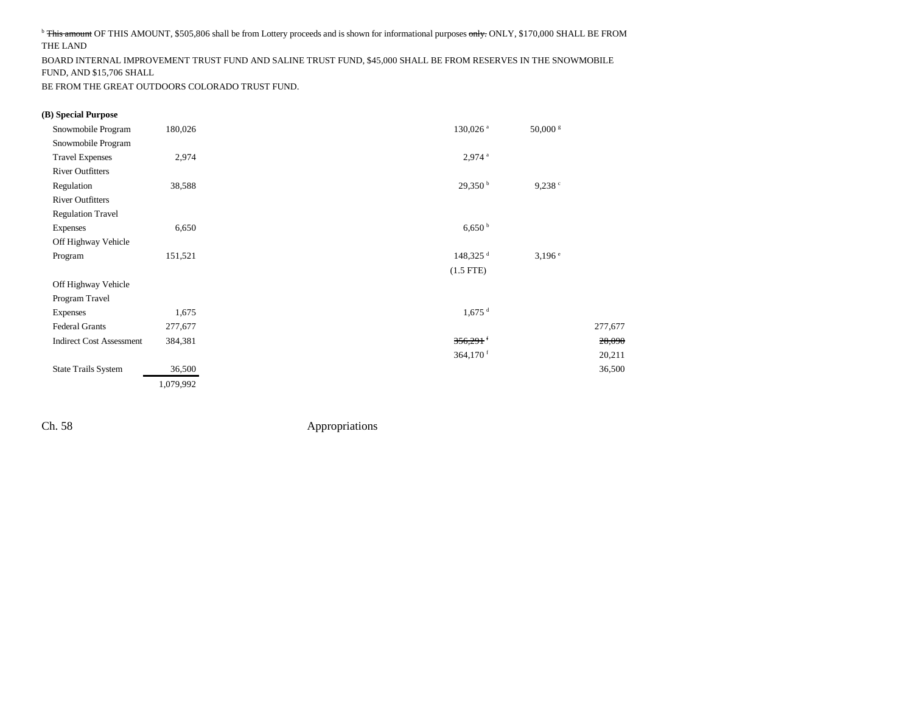<sup>b</sup> This amount OF THIS AMOUNT, \$505,806 shall be from Lottery proceeds and is shown for informational purposes only. ONLY, \$170,000 SHALL BE FROM THE LAND

BOARD INTERNAL IMPROVEMENT TRUST FUND AND SALINE TRUST FUND, \$45,000 SHALL BE FROM RESERVES IN THE SNOWMOBILE FUND, AND \$15,706 SHALL

BE FROM THE GREAT OUTDOORS COLORADO TRUST FUND.

#### **(B) Special Purpose**

| Snowmobile Program              | 180,026   | 130,026 <sup>a</sup>   | 50,000 s             |
|---------------------------------|-----------|------------------------|----------------------|
| Snowmobile Program              |           |                        |                      |
| <b>Travel Expenses</b>          | 2,974     | $2,974$ <sup>a</sup>   |                      |
| <b>River Outfitters</b>         |           |                        |                      |
| Regulation                      | 38,588    | 29,350 <sup>b</sup>    | 9,238°               |
| <b>River Outfitters</b>         |           |                        |                      |
| <b>Regulation Travel</b>        |           |                        |                      |
| <b>Expenses</b>                 | 6,650     | 6,650 <sup>b</sup>     |                      |
| Off Highway Vehicle             |           |                        |                      |
| Program                         | 151,521   | $148,325$ <sup>d</sup> | $3,196$ <sup>e</sup> |
|                                 |           | $(1.5$ FTE)            |                      |
| Off Highway Vehicle             |           |                        |                      |
| Program Travel                  |           |                        |                      |
| <b>Expenses</b>                 | 1,675     | $1,675$ <sup>d</sup>   |                      |
| <b>Federal Grants</b>           | 277,677   |                        | 277,677              |
| <b>Indirect Cost Assessment</b> | 384,381   | $356,291$ <sup>f</sup> | 28,090               |
|                                 |           | 364,170 $f$            | 20,211               |
| <b>State Trails System</b>      | 36,500    |                        | 36,500               |
|                                 | 1,079,992 |                        |                      |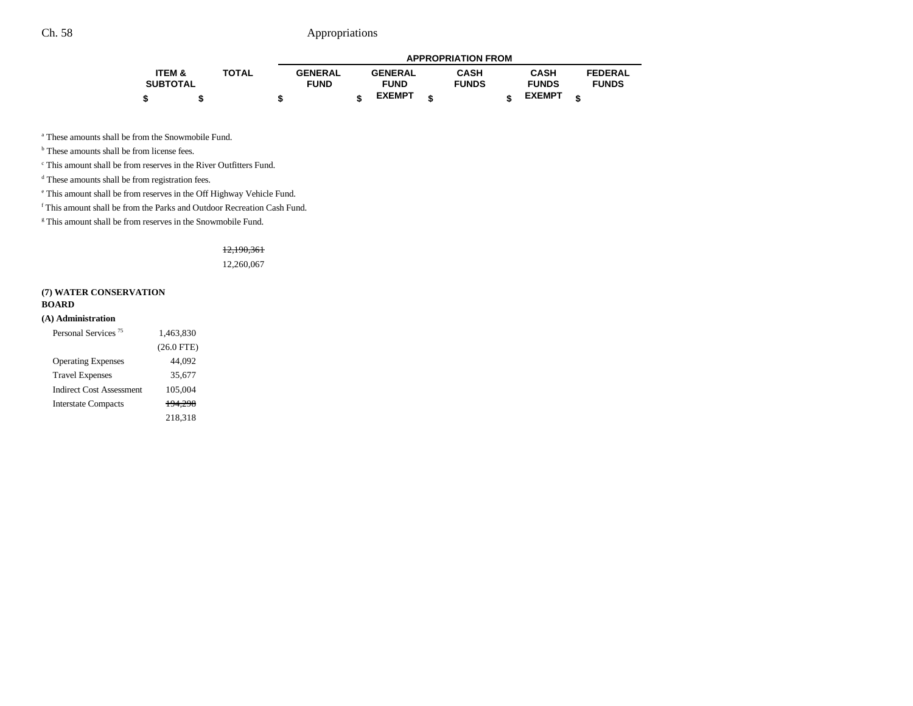|                 |              |                | <b>APPROPRIATION FROM</b> |                |  |              |  |               |  |                |
|-----------------|--------------|----------------|---------------------------|----------------|--|--------------|--|---------------|--|----------------|
| ITEM &          | <b>TOTAL</b> | <b>GENERAL</b> |                           | <b>GENERAL</b> |  | <b>CASH</b>  |  | <b>CASH</b>   |  | <b>FEDERAL</b> |
| <b>SUBTOTAL</b> |              | <b>FUND</b>    |                           | <b>FUND</b>    |  | <b>FUNDS</b> |  | <b>FUNDS</b>  |  | <b>FUNDS</b>   |
| - \$            |              |                |                           | <b>EXEMPT</b>  |  |              |  | <b>EXEMPT</b> |  |                |

a These amounts shall be from the Snowmobile Fund.

<sup>b</sup> These amounts shall be from license fees.

c This amount shall be from reserves in the River Outfitters Fund.

<sup>d</sup> These amounts shall be from registration fees.

e This amount shall be from reserves in the Off Highway Vehicle Fund.

f This amount shall be from the Parks and Outdoor Recreation Cash Fund.

<sup>g</sup> This amount shall be from reserves in the Snowmobile Fund.

# 12,190,361

12,260,067

### **(7) WATER CONSERVATION**

#### **BOARD**

#### **(A) Administration**

| Personal Services <sup>75</sup> | 1,463,830    |
|---------------------------------|--------------|
|                                 | $(26.0$ FTE) |
| <b>Operating Expenses</b>       | 44.092       |
| <b>Travel Expenses</b>          | 35,677       |
| Indirect Cost Assessment        | 105,004      |
| <b>Interstate Compacts</b>      | 194.298      |
|                                 | 218,318      |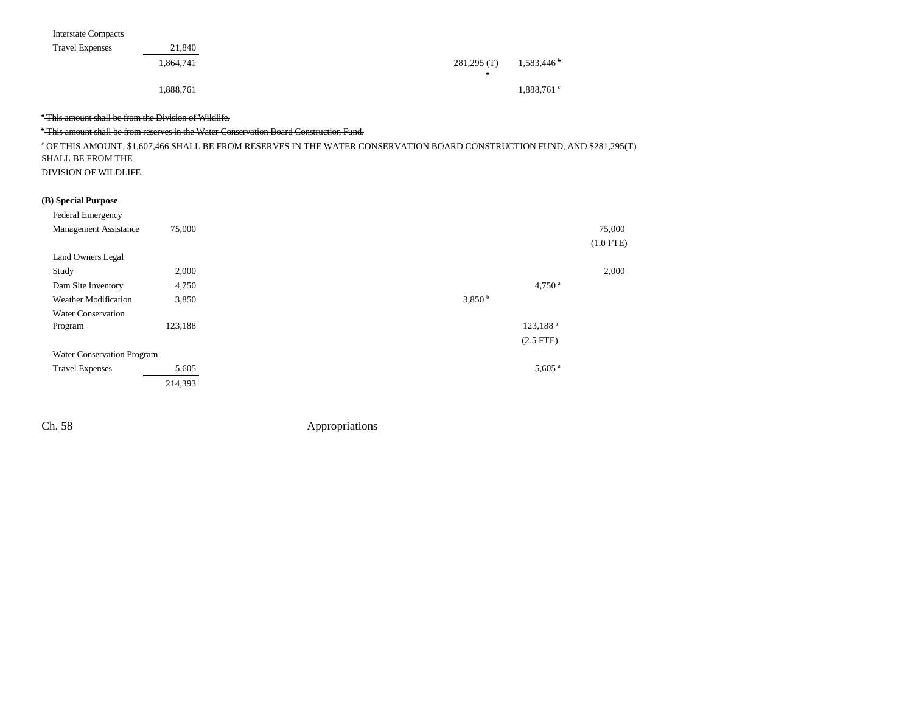| <b>Interstate Compacts</b> |
|----------------------------|
|----------------------------|

| <b>Travel Expenses</b> | 21,840    |               |                       |
|------------------------|-----------|---------------|-----------------------|
|                        | 1.864.741 | $281,295$ (T) | 1,583,446             |
|                        |           | а             |                       |
|                        | 1,888,761 |               | $1,888,761$ $\degree$ |

### <sup>a</sup> This amount shall be from the Division of Wildlife.

#### b This amount shall be from reserves in the Water Conservation Board Construction Fund.

c OF THIS AMOUNT, \$1,607,466 SHALL BE FROM RESERVES IN THE WATER CONSERVATION BOARD CONSTRUCTION FUND, AND \$281,295(T) SHALL BE FROM THE DIVISION OF WILDLIFE.

### **(B) Special Purpose**

| Federal Emergency            |         |                        |             |
|------------------------------|---------|------------------------|-------------|
| <b>Management Assistance</b> | 75,000  |                        | 75,000      |
|                              |         |                        | $(1.0$ FTE) |
| Land Owners Legal            |         |                        |             |
| Study                        | 2,000   |                        | 2,000       |
| Dam Site Inventory           | 4,750   | 4,750 $a$              |             |
| <b>Weather Modification</b>  | 3,850   | 3,850 <sup>b</sup>     |             |
| <b>Water Conservation</b>    |         |                        |             |
| Program                      | 123,188 | $123,188$ <sup>a</sup> |             |
|                              |         | $(2.5$ FTE)            |             |
| Water Conservation Program   |         |                        |             |
| <b>Travel Expenses</b>       | 5,605   | $5,605$ <sup>a</sup>   |             |
|                              | 214,393 |                        |             |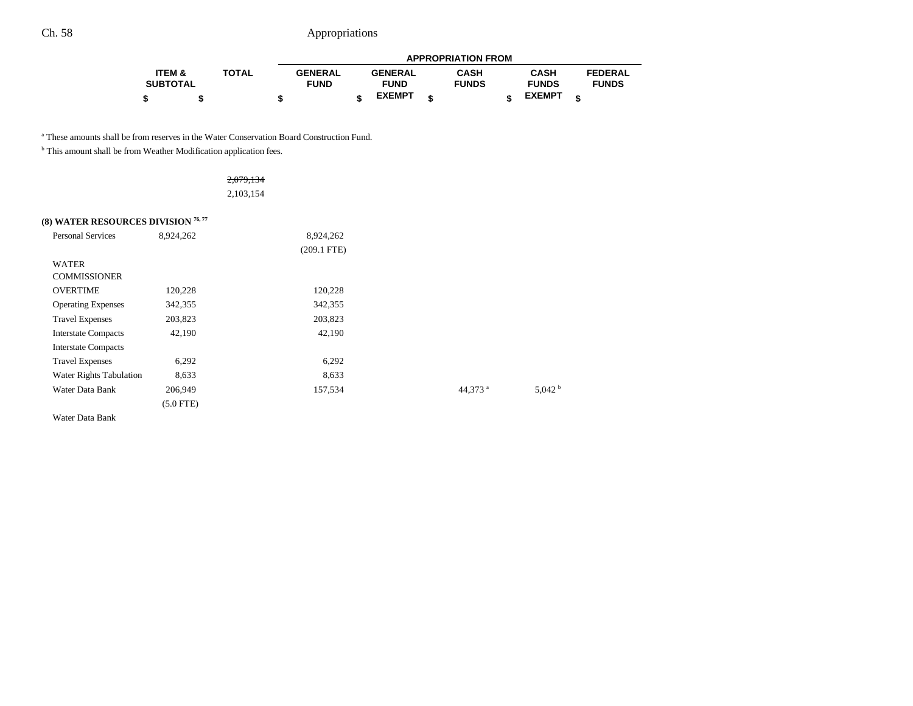|                 |              |                |                | <b>APPROPRIATION FROM</b> |               |                |  |
|-----------------|--------------|----------------|----------------|---------------------------|---------------|----------------|--|
| ITEM &          | <b>TOTAL</b> | <b>GENERAL</b> | <b>GENERAL</b> | <b>CASH</b>               | <b>CASH</b>   | <b>FEDERAL</b> |  |
| <b>SUBTOTAL</b> |              | <b>FUND</b>    | <b>FUND</b>    | <b>FUNDS</b>              | <b>FUNDS</b>  | <b>FUNDS</b>   |  |
|                 |              |                | <b>EXEMPT</b>  |                           | <b>EXEMPT</b> |                |  |

a These amounts shall be from reserves in the Water Conservation Board Construction Fund.

 $^{\rm b}$  This amount shall be from Weather Modification application fees.

## 2,079,134 2,103,154

### **(8) WATER RESOURCES DIVISION 76,77**

| <b>Personal Services</b>   | 8,924,262   | 8,924,262     |                     |                    |
|----------------------------|-------------|---------------|---------------------|--------------------|
|                            |             | $(209.1$ FTE) |                     |                    |
| <b>WATER</b>               |             |               |                     |                    |
| <b>COMMISSIONER</b>        |             |               |                     |                    |
| <b>OVERTIME</b>            | 120,228     | 120,228       |                     |                    |
| <b>Operating Expenses</b>  | 342,355     | 342,355       |                     |                    |
| <b>Travel Expenses</b>     | 203,823     | 203,823       |                     |                    |
| <b>Interstate Compacts</b> | 42,190      | 42,190        |                     |                    |
| <b>Interstate Compacts</b> |             |               |                     |                    |
| <b>Travel Expenses</b>     | 6,292       | 6,292         |                     |                    |
| Water Rights Tabulation    | 8,633       | 8,633         |                     |                    |
| Water Data Bank            | 206,949     | 157,534       | 44,373 <sup>a</sup> | 5.042 <sup>b</sup> |
|                            | $(5.0$ FTE) |               |                     |                    |

Water Data Bank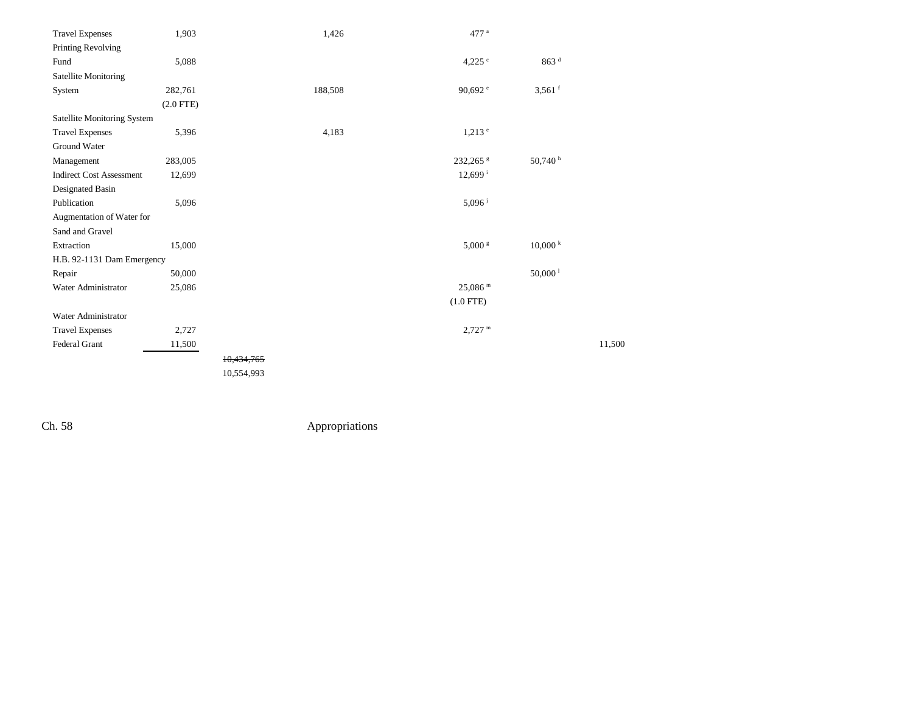| <b>Travel Expenses</b>             | 1,903       |            | 1,426   | 477 <sup>a</sup>      |                       |        |
|------------------------------------|-------------|------------|---------|-----------------------|-----------------------|--------|
| Printing Revolving                 |             |            |         |                       |                       |        |
| Fund                               | 5,088       |            |         | 4,225 $\degree$       | 863 <sup>d</sup>      |        |
| Satellite Monitoring               |             |            |         |                       |                       |        |
| System                             | 282,761     |            | 188,508 | 90,692 $^{\circ}$     | $3,561$ <sup>f</sup>  |        |
|                                    | $(2.0$ FTE) |            |         |                       |                       |        |
| <b>Satellite Monitoring System</b> |             |            |         |                       |                       |        |
| <b>Travel Expenses</b>             | 5,396       |            | 4,183   | $1,213$ <sup>e</sup>  |                       |        |
| Ground Water                       |             |            |         |                       |                       |        |
| Management                         | 283,005     |            |         | 232,265 \$            | 50,740h               |        |
| <b>Indirect Cost Assessment</b>    | 12,699      |            |         | $12,699$ <sup>i</sup> |                       |        |
| Designated Basin                   |             |            |         |                       |                       |        |
| Publication                        | 5,096       |            |         | $5,096$ <sup>j</sup>  |                       |        |
| Augmentation of Water for          |             |            |         |                       |                       |        |
| Sand and Gravel                    |             |            |         |                       |                       |        |
| Extraction                         | 15,000      |            |         | $5,000~^{\rm g}$      | 10,000 k              |        |
| H.B. 92-1131 Dam Emergency         |             |            |         |                       |                       |        |
| Repair                             | 50,000      |            |         |                       | $50,000$ <sup>1</sup> |        |
| Water Administrator                | 25,086      |            |         | $25,086$ m            |                       |        |
|                                    |             |            |         | $(1.0$ FTE)           |                       |        |
| Water Administrator                |             |            |         |                       |                       |        |
| <b>Travel Expenses</b>             | 2,727       |            |         | $2,727$ <sup>m</sup>  |                       |        |
| Federal Grant                      | 11,500      |            |         |                       |                       | 11,500 |
|                                    |             | 10,434,765 |         |                       |                       |        |
|                                    |             | 10,554,993 |         |                       |                       |        |
|                                    |             |            |         |                       |                       |        |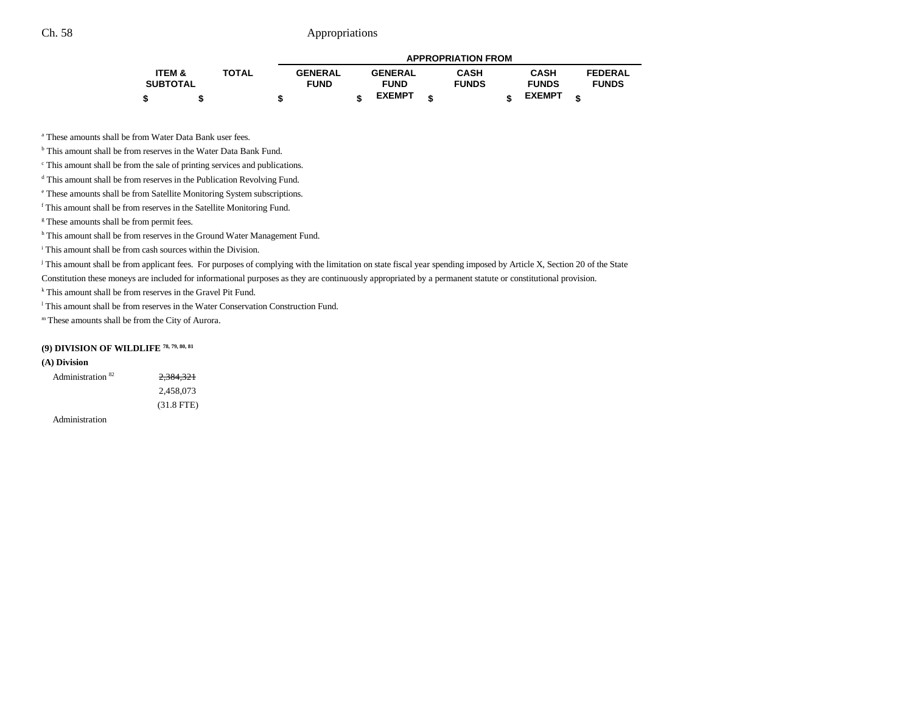|                   |              |                |                |   | <b>APPROPRIATION FROM</b> |               |   |                |
|-------------------|--------------|----------------|----------------|---|---------------------------|---------------|---|----------------|
| <b>ITEM &amp;</b> | <b>TOTAL</b> | <b>GENERAL</b> | <b>GENERAL</b> |   | <b>CASH</b>               | <b>CASH</b>   |   | <b>FEDERAL</b> |
| <b>SUBTOTAL</b>   |              | <b>FUND</b>    | <b>FUND</b>    |   | <b>FUNDS</b>              | <b>FUNDS</b>  |   | <b>FUNDS</b>   |
|                   |              |                | <b>EXEMPT</b>  | ¢ |                           | <b>EXEMPT</b> | ¢ |                |

a These amounts shall be from Water Data Bank user fees.

b This amount shall be from reserves in the Water Data Bank Fund.

c This amount shall be from the sale of printing services and publications.

d This amount shall be from reserves in the Publication Revolving Fund.

e These amounts shall be from Satellite Monitoring System subscriptions.

f This amount shall be from reserves in the Satellite Monitoring Fund.

<sup>g</sup> These amounts shall be from permit fees.

h This amount shall be from reserves in the Ground Water Management Fund.

i This amount shall be from cash sources within the Division.

<sup>j</sup> This amount shall be from applicant fees. For purposes of complying with the limitation on state fiscal year spending imposed by Article X, Section 20 of the State

Constitution these moneys are included for informational purposes as they are continuously appropriated by a permanent statute or constitutional provision.

<sup>k</sup> This amount shall be from reserves in the Gravel Pit Fund.

l This amount shall be from reserves in the Water Conservation Construction Fund.

m These amounts shall be from the City of Aurora.

### **(9) DIVISION OF WILDLIFE 78, 79, 80, 81**

#### **(A) Division**

| Administration <sup>82</sup> | 2,384,321    |
|------------------------------|--------------|
|                              | 2,458,073    |
|                              | $(31.8$ FTE) |

Administration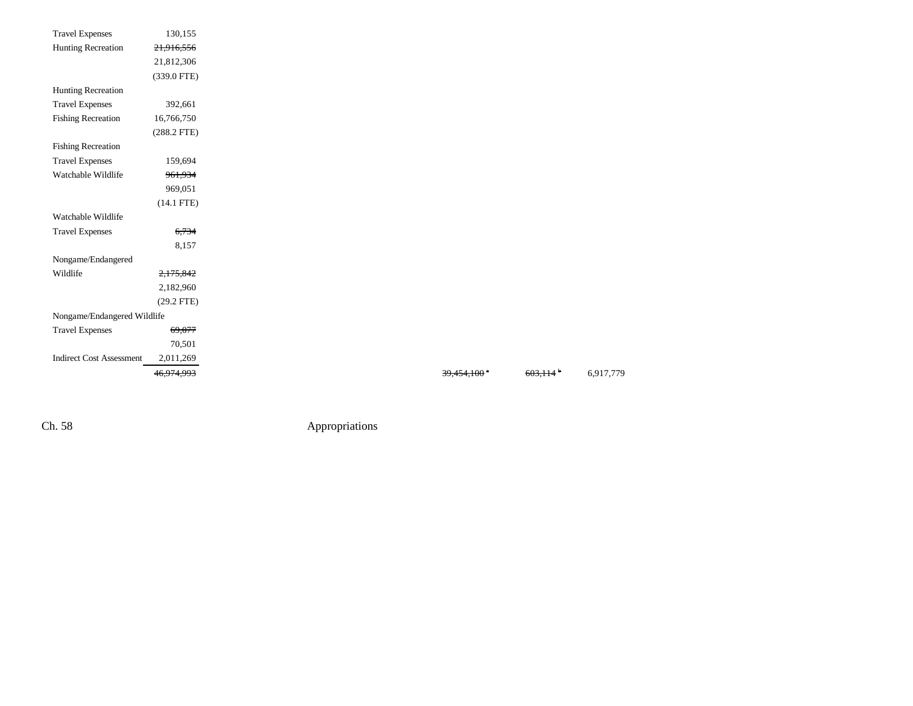| <b>Travel Expenses</b>          | 130,155       |
|---------------------------------|---------------|
| Hunting Recreation              | 21,916,556    |
|                                 | 21,812,306    |
|                                 | (339.0 FTE)   |
| Hunting Recreation              |               |
| <b>Travel Expenses</b>          | 392,661       |
| <b>Fishing Recreation</b>       | 16,766,750    |
|                                 | $(288.2$ FTE) |
| <b>Fishing Recreation</b>       |               |
| <b>Travel Expenses</b>          | 159,694       |
| Watchable Wildlife              | 961,934       |
|                                 | 969,051       |
|                                 | $(14.1$ FTE)  |
| Watchable Wildlife              |               |
| <b>Travel Expenses</b>          | 6,734         |
|                                 | 8,157         |
| Nongame/Endangered              |               |
| Wildlife                        | 2,175,842     |
|                                 | 2,182,960     |
|                                 | $(29.2$ FTE)  |
| Nongame/Endangered Wildlife     |               |
| <b>Travel Expenses</b>          | 69,077        |
|                                 | 70,501        |
| <b>Indirect Cost Assessment</b> | 2,011,269     |
|                                 | 46,974,993    |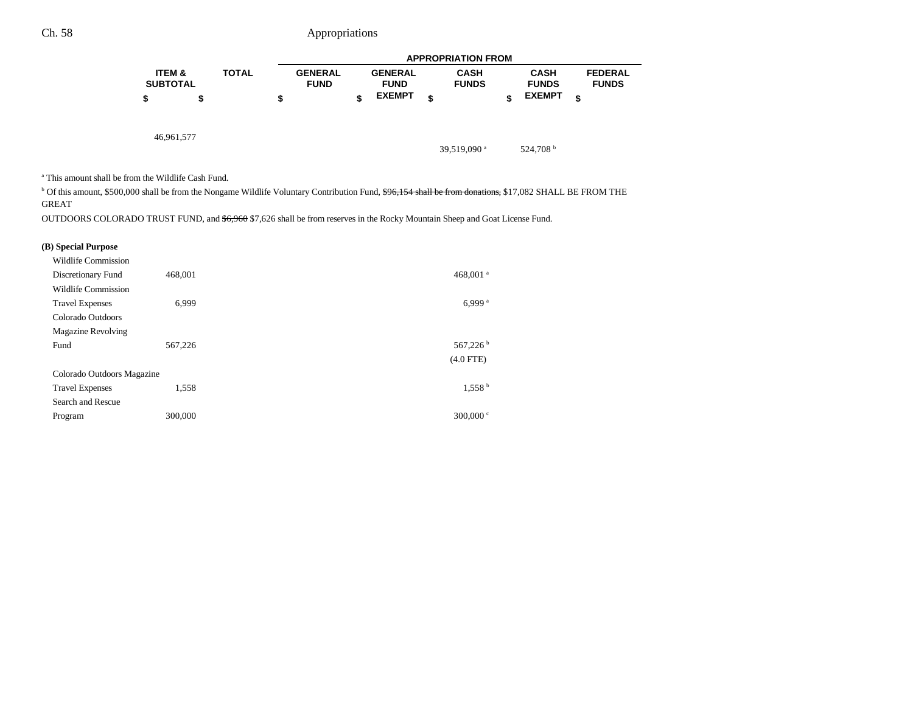|                                                                                                                                                                                                                                       |                                      |              |                               |                               | <b>APPROPRIATION FROM</b>   |                             |                                |
|---------------------------------------------------------------------------------------------------------------------------------------------------------------------------------------------------------------------------------------|--------------------------------------|--------------|-------------------------------|-------------------------------|-----------------------------|-----------------------------|--------------------------------|
|                                                                                                                                                                                                                                       | <b>ITEM &amp;</b><br><b>SUBTOTAL</b> | <b>TOTAL</b> | <b>GENERAL</b><br><b>FUND</b> | <b>GENERAL</b><br><b>FUND</b> | <b>CASH</b><br><b>FUNDS</b> | <b>CASH</b><br><b>FUNDS</b> | <b>FEDERAL</b><br><b>FUNDS</b> |
|                                                                                                                                                                                                                                       | \$                                   | \$           | \$                            | <b>EXEMPT</b>                 | \$                          | \$<br><b>EXEMPT</b>         | \$                             |
|                                                                                                                                                                                                                                       | 46,961,577                           |              |                               |                               | 39.519.090 $^{\rm a}$       | 524.708 <sup>b</sup>        |                                |
| <sup>a</sup> This amount shall be from the Wildlife Cash Fund.<br><sup>b</sup> Of this amount, \$500,000 shall be from the Nongame Wildlife Voluntary Contribution Fund, \$96,154 shall be from donations, \$17,082 SHALL BE FROM THE |                                      |              |                               |                               |                             |                             |                                |

GREAT

OUTDOORS COLORADO TRUST FUND, and \$6,960 \$7,626 shall be from reserves in the Rocky Mountain Sheep and Goat License Fund.

### **(B) Special Purpose**

| <b>Wildlife Commission</b> |         |                      |
|----------------------------|---------|----------------------|
| Discretionary Fund         | 468,001 | 468,001 <sup>a</sup> |
| Wildlife Commission        |         |                      |
| <b>Travel Expenses</b>     | 6.999   | 6.999 <sup>a</sup>   |
| Colorado Outdoors          |         |                      |
| <b>Magazine Revolving</b>  |         |                      |
| Fund                       | 567,226 | 567,226 <sup>b</sup> |
|                            |         | $(4.0$ FTE)          |
| Colorado Outdoors Magazine |         |                      |
| <b>Travel Expenses</b>     | 1,558   | 1,558 <sup>b</sup>   |
| Search and Rescue          |         |                      |
| Program                    | 300,000 | 300,000 $\degree$    |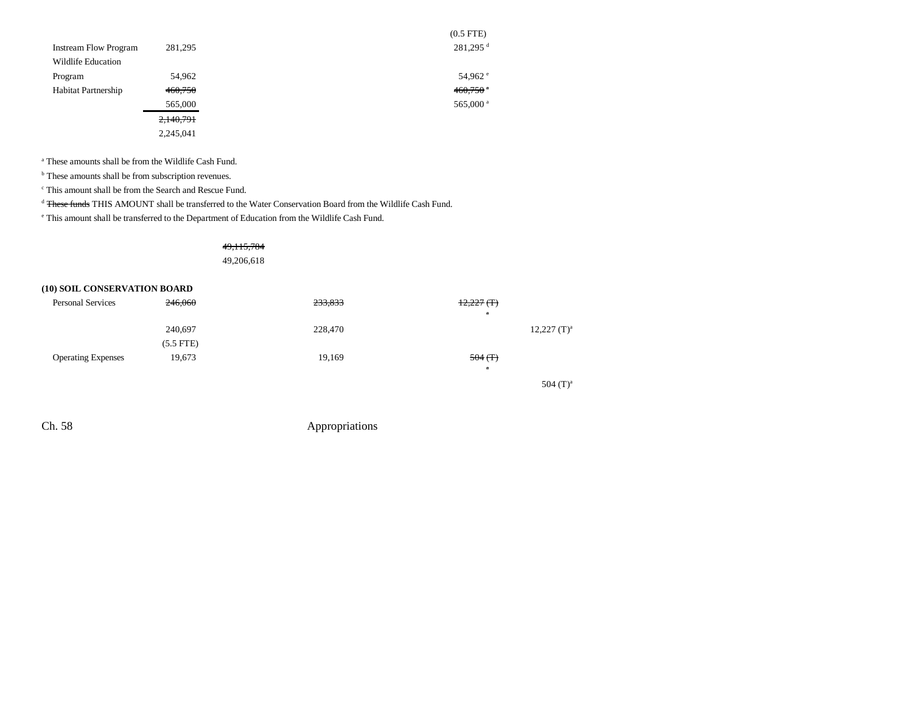|                              |           | $(0.5$ FTE $)$         |
|------------------------------|-----------|------------------------|
| <b>Instream Flow Program</b> | 281,295   | 281,295 <sup>d</sup>   |
| Wildlife Education           |           |                        |
| Program                      | 54,962    | 54,962 $^{\circ}$      |
| <b>Habitat Partnership</b>   | 460,750   | $460,750$ <sup>a</sup> |
|                              | 565,000   | 565,000 <sup>a</sup>   |
|                              | 2,140,791 |                        |
|                              | 2,245,041 |                        |

a These amounts shall be from the Wildlife Cash Fund.

**b** These amounts shall be from subscription revenues.

c This amount shall be from the Search and Rescue Fund.

<sup>d</sup> <del>These funds</del> THIS AMOUNT shall be transferred to the Water Conservation Board from the Wildlife Cash Fund.

e This amount shall be transferred to the Department of Education from the Wildlife Cash Fund.

49,115,784 49,206,618

### **(10) SOIL CONSERVATION BOARD**

| <b>Personal Services</b>  | 246,060     | 233,833 | $12,227$ (T)<br>$\mathbf{a}$ |                  |
|---------------------------|-------------|---------|------------------------------|------------------|
|                           | 240,697     | 228,470 |                              | $12,227$ $(T)^a$ |
|                           | $(5.5$ FTE) |         |                              |                  |
| <b>Operating Expenses</b> | 19,673      | 19,169  | $504($ T)                    |                  |
|                           |             |         | $\mathbf{a}$                 |                  |
|                           |             |         |                              | 504 $(T)^a$      |
|                           |             |         |                              |                  |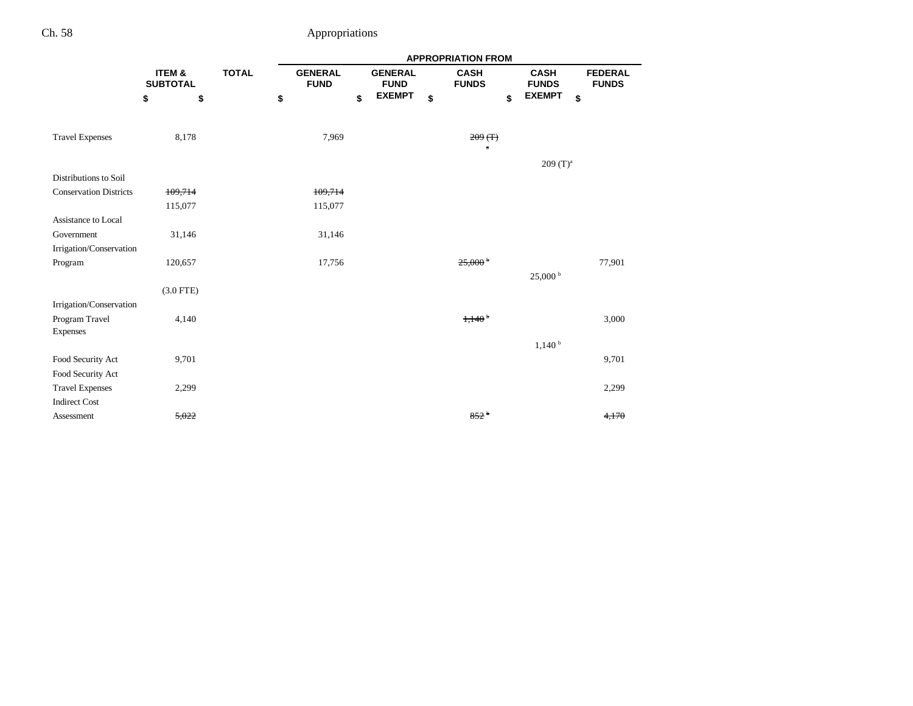|                               |                           |              |                               |                               | <b>APPROPRIATION FROM</b>   |                             |                                |
|-------------------------------|---------------------------|--------------|-------------------------------|-------------------------------|-----------------------------|-----------------------------|--------------------------------|
|                               | ITEM &<br><b>SUBTOTAL</b> | <b>TOTAL</b> | <b>GENERAL</b><br><b>FUND</b> | <b>GENERAL</b><br><b>FUND</b> | <b>CASH</b><br><b>FUNDS</b> | <b>CASH</b><br><b>FUNDS</b> | <b>FEDERAL</b><br><b>FUNDS</b> |
|                               | \$<br>\$                  |              | \$                            | \$<br><b>EXEMPT</b>           | \$<br>\$                    | <b>EXEMPT</b>               | \$                             |
| <b>Travel Expenses</b>        | 8,178                     |              | 7,969                         |                               | 209(T)<br>$\mathbf{a}$      |                             |                                |
|                               |                           |              |                               |                               |                             | $209(T)^{a}$                |                                |
| Distributions to Soil         |                           |              |                               |                               |                             |                             |                                |
| <b>Conservation Districts</b> | 109,714                   |              | 109,714                       |                               |                             |                             |                                |
|                               | 115,077                   |              | 115,077                       |                               |                             |                             |                                |
| Assistance to Local           |                           |              |                               |                               |                             |                             |                                |
| Government                    | 31,146                    |              | 31,146                        |                               |                             |                             |                                |
| Irrigation/Conservation       |                           |              |                               |                               |                             |                             |                                |
| Program                       | 120,657                   |              | 17,756                        |                               | $25,000^{\circ}$            |                             | 77,901                         |
|                               |                           |              |                               |                               |                             | 25,000 <sup>b</sup>         |                                |
|                               | $(3.0$ FTE)               |              |                               |                               |                             |                             |                                |
| Irrigation/Conservation       |                           |              |                               |                               |                             |                             |                                |
| Program Travel                | 4,140                     |              |                               |                               | 1,140 <sup>b</sup>          |                             | 3,000                          |
| Expenses                      |                           |              |                               |                               |                             |                             |                                |
|                               |                           |              |                               |                               |                             | 1,140 <sup>b</sup>          |                                |
| Food Security Act             | 9,701                     |              |                               |                               |                             |                             | 9,701                          |
| Food Security Act             |                           |              |                               |                               |                             |                             |                                |
| <b>Travel Expenses</b>        | 2,299                     |              |                               |                               |                             |                             | 2,299                          |
| <b>Indirect Cost</b>          |                           |              |                               |                               |                             |                             |                                |
| Assessment                    | 5,022                     |              |                               |                               | $852^{\circ}$               |                             | 4,170                          |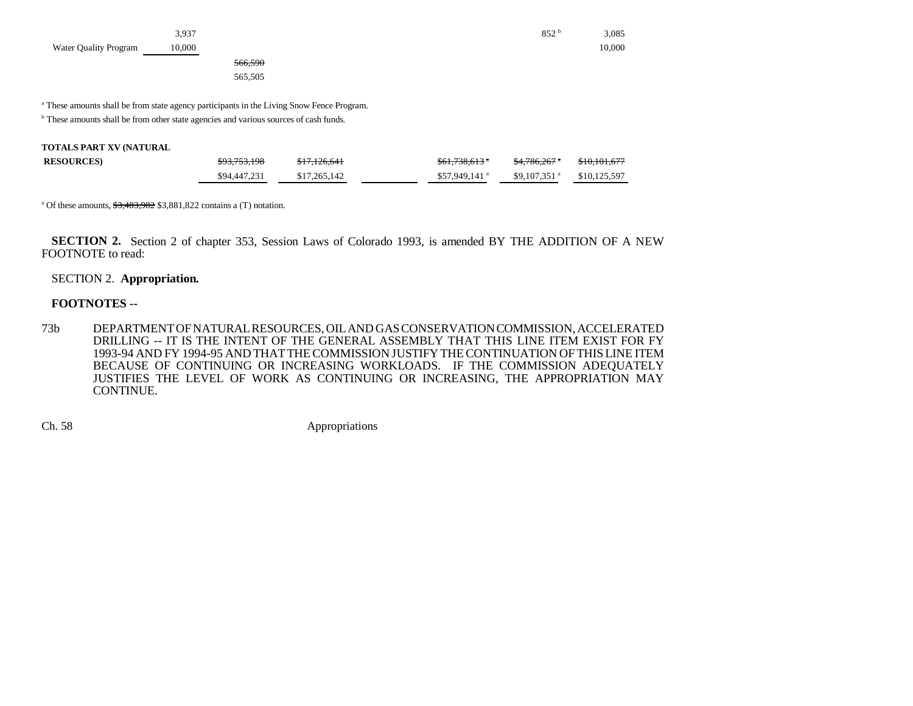|                       | 3,937  |         |  | 852 <sup>b</sup> | 3,085  |
|-----------------------|--------|---------|--|------------------|--------|
| Water Quality Program | 10,000 |         |  |                  | 10,000 |
|                       |        | 566,590 |  |                  |        |
|                       |        | 565,505 |  |                  |        |

a These amounts shall be from state agency participants in the Living Snow Fence Program.

<sup>b</sup> These amounts shall be from other state agencies and various sources of cash funds.

| <b>RESOURCES</b> ) | \$93,753,198 | \$17,126,641 | <del>\$61,738,613</del> *  | \$4,786,267               | \$10,101,677 |
|--------------------|--------------|--------------|----------------------------|---------------------------|--------------|
|                    | \$94,447,231 | \$17,265,142 | $$57.949.141$ <sup>a</sup> | $$9,107,351$ <sup>a</sup> | \$10,125,597 |

<sup>a</sup> Of these amounts,  $\frac{$3,483,982}{$3,881,822}$  contains a (T) notation.

**SECTION 2.** Section 2 of chapter 353, Session Laws of Colorado 1993, is amended BY THE ADDITION OF A NEW FOOTNOTE to read:

### SECTION 2. **Appropriation.**

### **FOOTNOTES --**

73b DEPARTMENT OF NATURAL RESOURCES, OIL AND GAS CONSERVATION COMMISSION, ACCELERATED DRILLING -- IT IS THE INTENT OF THE GENERAL ASSEMBLY THAT THIS LINE ITEM EXIST FOR FY 1993-94 AND FY 1994-95 AND THAT THE COMMISSION JUSTIFY THE CONTINUATION OF THIS LINE ITEMBECAUSE OF CONTINUING OR INCREASING WORKLOADS. IF THE COMMISSION ADEQUATELY JUSTIFIES THE LEVEL OF WORK AS CONTINUING OR INCREASING, THE APPROPRIATION MAY CONTINUE.